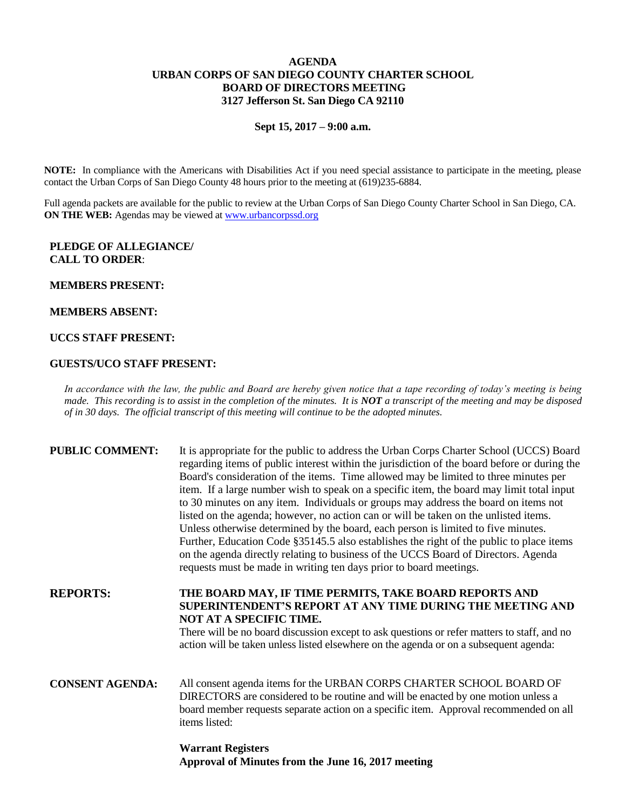# **AGENDA URBAN CORPS OF SAN DIEGO COUNTY CHARTER SCHOOL BOARD OF DIRECTORS MEETING 3127 Jefferson St. San Diego CA 92110**

**Sept 15, 2017 – 9:00 a.m.**

**NOTE:** In compliance with the Americans with Disabilities Act if you need special assistance to participate in the meeting, please contact the Urban Corps of San Diego County 48 hours prior to the meeting at (619)235-6884.

Full agenda packets are available for the public to review at the Urban Corps of San Diego County Charter School in San Diego, CA. **ON THE WEB:** Agendas may be viewed at [www.urbancorpssd.org](http://www.urbancorpssd.org/)

### **PLEDGE OF ALLEGIANCE/ CALL TO ORDER**:

#### **MEMBERS PRESENT:**

### **MEMBERS ABSENT:**

# **UCCS STAFF PRESENT:**

### **GUESTS/UCO STAFF PRESENT:**

*In accordance with the law, the public and Board are hereby given notice that a tape recording of today's meeting is being made. This recording is to assist in the completion of the minutes. It is NOT a transcript of the meeting and may be disposed of in 30 days. The official transcript of this meeting will continue to be the adopted minutes.*

| <b>PUBLIC COMMENT:</b> | It is appropriate for the public to address the Urban Corps Charter School (UCCS) Board<br>regarding items of public interest within the jurisdiction of the board before or during the<br>Board's consideration of the items. Time allowed may be limited to three minutes per<br>item. If a large number wish to speak on a specific item, the board may limit total input<br>to 30 minutes on any item. Individuals or groups may address the board on items not<br>listed on the agenda; however, no action can or will be taken on the unlisted items.<br>Unless otherwise determined by the board, each person is limited to five minutes.<br>Further, Education Code §35145.5 also establishes the right of the public to place items<br>on the agenda directly relating to business of the UCCS Board of Directors. Agenda<br>requests must be made in writing ten days prior to board meetings. |
|------------------------|----------------------------------------------------------------------------------------------------------------------------------------------------------------------------------------------------------------------------------------------------------------------------------------------------------------------------------------------------------------------------------------------------------------------------------------------------------------------------------------------------------------------------------------------------------------------------------------------------------------------------------------------------------------------------------------------------------------------------------------------------------------------------------------------------------------------------------------------------------------------------------------------------------|
| <b>REPORTS:</b>        | THE BOARD MAY, IF TIME PERMITS, TAKE BOARD REPORTS AND<br>SUPERINTENDENT'S REPORT AT ANY TIME DURING THE MEETING AND<br>NOT AT A SPECIFIC TIME.<br>There will be no board discussion except to ask questions or refer matters to staff, and no<br>action will be taken unless listed elsewhere on the agenda or on a subsequent agenda:                                                                                                                                                                                                                                                                                                                                                                                                                                                                                                                                                                  |
| <b>CONSENT AGENDA:</b> | All consent agenda items for the URBAN CORPS CHARTER SCHOOL BOARD OF<br>DIRECTORS are considered to be routine and will be enacted by one motion unless a<br>board member requests separate action on a specific item. Approval recommended on all<br>items listed:                                                                                                                                                                                                                                                                                                                                                                                                                                                                                                                                                                                                                                      |
|                        |                                                                                                                                                                                                                                                                                                                                                                                                                                                                                                                                                                                                                                                                                                                                                                                                                                                                                                          |

**Warrant Registers Approval of Minutes from the June 16, 2017 meeting**